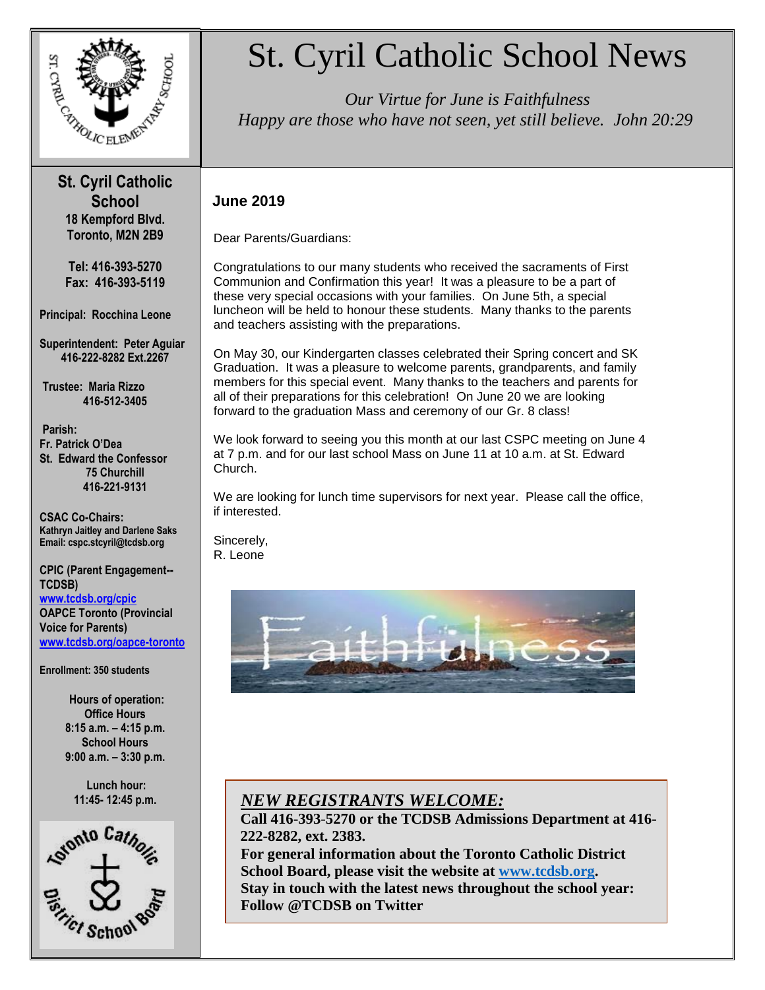

### **St. Cyril Catholic School 18 Kempford Blvd. Toronto, M2N 2B9**

**Tel: 416-393-5270 Fax: 416-393-5119**

**Principal: Rocchina Leone**

**Superintendent: Peter Aguiar 416-222-8282 Ext.2267**

**Trustee: Maria Rizzo 416-512-3405**

**Parish: Fr. Patrick O'Dea St. Edward the Confessor 75 Churchill 416-221-9131**

**CSAC Co-Chairs: Kathryn Jaitley and Darlene Saks Email: cspc.stcyril@tcdsb.org**

**CPIC (Parent Engagement-- TCDSB) [www.tcdsb.org/cpic](http://www.tcdsb.org/cpic) OAPCE Toronto (Provincial Voice for Parents) [www.tcdsb.org/oapce-toronto](http://www.tcdsb.org/oapce-toronto)**

**Enrollment: 350 students**

**Hours of operation: Office Hours 8:15 a.m. – 4:15 p.m. School Hours 9:00 a.m. – 3:30 p.m.**

**Lunch hour:** 



# St. Cyril Catholic School News

 *Happy are those who have not seen, yet still believe. John 20:29 Our Virtue for June is Faithfulness* 

### **June 2019**

Dear Parents/Guardians:

Congratulations to our many students who received the sacraments of First Communion and Confirmation this year! It was a pleasure to be a part of these very special occasions with your families. On June 5th, a special luncheon will be held to honour these students. Many thanks to the parents and teachers assisting with the preparations.

On May 30, our Kindergarten classes celebrated their Spring concert and SK Graduation. It was a pleasure to welcome parents, grandparents, and family members for this special event. Many thanks to the teachers and parents for all of their preparations for this celebration! On June 20 we are looking forward to the graduation Mass and ceremony of our Gr. 8 class!

We look forward to seeing you this month at our last CSPC meeting on June 4 at 7 p.m. and for our last school Mass on June 11 at 10 a.m. at St. Edward Church.

We are looking for lunch time supervisors for next year. Please call the office, if interested.

Sincerely, R. Leone



### **11:45- 12:45 p.m.** *NEW REGISTRANTS WELCOME:*

**Call 416-393***-***5270 or the TCDSB Admissions Department at 416- 222-8282, ext. 2383.**

**For general information about the Toronto Catholic District School Board, please visit the website at [www.tcdsb.org.](http://www.tcdsb.org/) Stay in touch with the latest news throughout the school year: Follow @TCDSB on Twitter**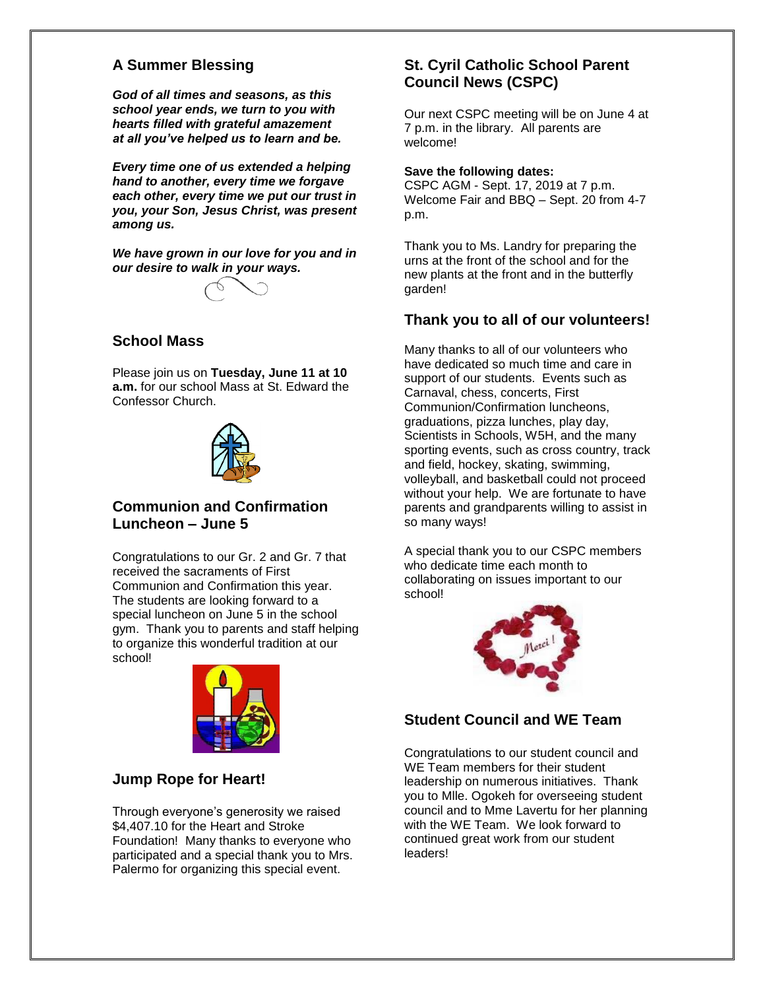### **A Summer Blessing**

*God of all times and seasons, as this school year ends, we turn to you with hearts filled with grateful amazement at all you've helped us to learn and be.*

*Every time one of us extended a helping hand to another, every time we forgave each other, every time we put our trust in you, your Son, Jesus Christ, was present among us.*

*We have grown in our love for you and in our desire to walk in your ways.*



### **School Mass**

Please join us on **Tuesday, June 11 at 10 a.m.** for our school Mass at St. Edward the Confessor Church.



### **Communion and Confirmation Luncheon – June 5**

Congratulations to our Gr. 2 and Gr. 7 that received the sacraments of First Communion and Confirmation this year. The students are looking forward to a special luncheon on June 5 in the school gym. Thank you to parents and staff helping to organize this wonderful tradition at our school!



### **Jump Rope for Heart!**

Through everyone's generosity we raised \$4,407.10 for the Heart and Stroke Foundation! Many thanks to everyone who participated and a special thank you to Mrs. Palermo for organizing this special event.

### **St. Cyril Catholic School Parent Council News (CSPC)**

Our next CSPC meeting will be on June 4 at 7 p.m. in the library. All parents are welcome!

#### **Save the following dates:**

CSPC AGM - Sept. 17, 2019 at 7 p.m. Welcome Fair and BBQ – Sept. 20 from 4-7 p.m.

Thank you to Ms. Landry for preparing the urns at the front of the school and for the new plants at the front and in the butterfly garden!

### **Thank you to all of our volunteers!**

Many thanks to all of our volunteers who have dedicated so much time and care in support of our students. Events such as Carnaval, chess, concerts, First Communion/Confirmation luncheons, graduations, pizza lunches, play day, Scientists in Schools, W5H, and the many sporting events, such as cross country, track and field, hockey, skating, swimming, volleyball, and basketball could not proceed without your help. We are fortunate to have parents and grandparents willing to assist in so many ways!

A special thank you to our CSPC members who dedicate time each month to collaborating on issues important to our school!



### **Student Council and WE Team**

Congratulations to our student council and WE Team members for their student leadership on numerous initiatives. Thank you to Mlle. Ogokeh for overseeing student council and to Mme Lavertu for her planning with the WE Team. We look forward to continued great work from our student leaders!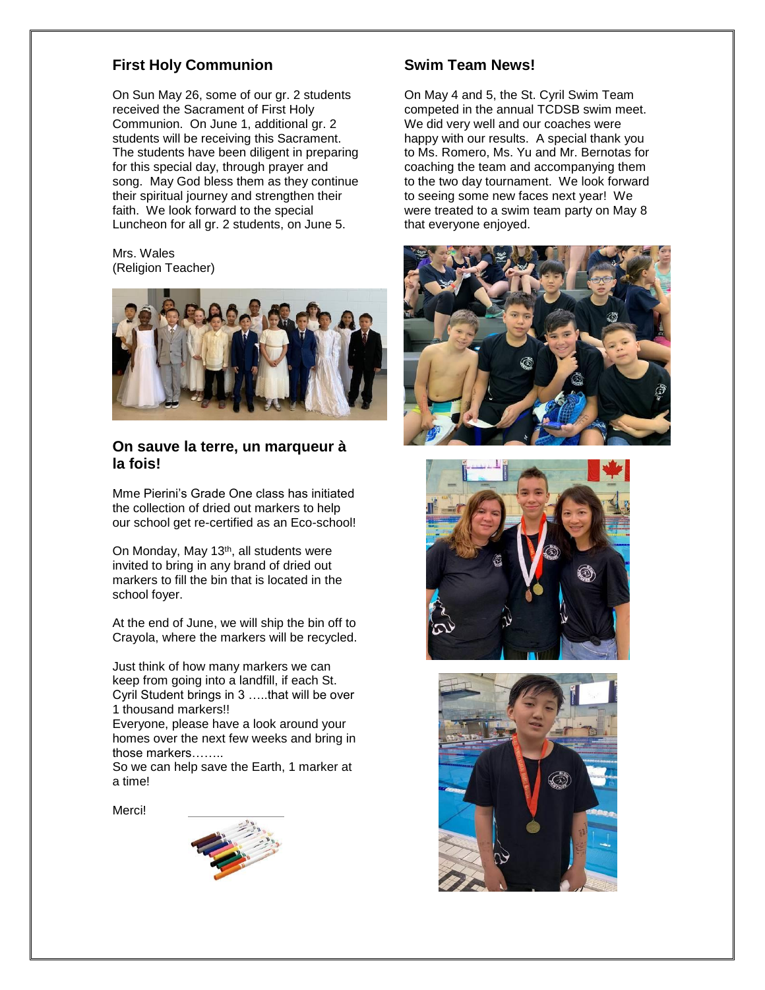### **First Holy Communion**

On Sun May 26, some of our gr. 2 students received the Sacrament of First Holy Communion. On June 1, additional gr. 2 students will be receiving this Sacrament. The students have been diligent in preparing for this special day, through prayer and song. May God bless them as they continue their spiritual journey and strengthen their faith. We look forward to the special Luncheon for all gr. 2 students, on June 5.

Mrs. Wales (Religion Teacher)



### **On sauve la terre, un marqueur à la fois!**

Mme Pierini's Grade One class has initiated the collection of dried out markers to help our school get re-certified as an Eco-school!

On Monday, May 13<sup>th</sup>, all students were invited to bring in any brand of dried out markers to fill the bin that is located in the school foyer.

At the end of June, we will ship the bin off to Crayola, where the markers will be recycled.

Just think of how many markers we can keep from going into a landfill, if each St. Cyril Student brings in 3 …..that will be over 1 thousand markers!!

Everyone, please have a look around your homes over the next few weeks and bring in those markers……..

So we can help save the Earth, 1 marker at a time!

Merci!



### **Swim Team News!**

On May 4 and 5, the St. Cyril Swim Team competed in the annual TCDSB swim meet. We did very well and our coaches were happy with our results. A special thank you to Ms. Romero, Ms. Yu and Mr. Bernotas for coaching the team and accompanying them to the two day tournament. We look forward to seeing some new faces next year! We were treated to a swim team party on May 8 that everyone enjoyed.





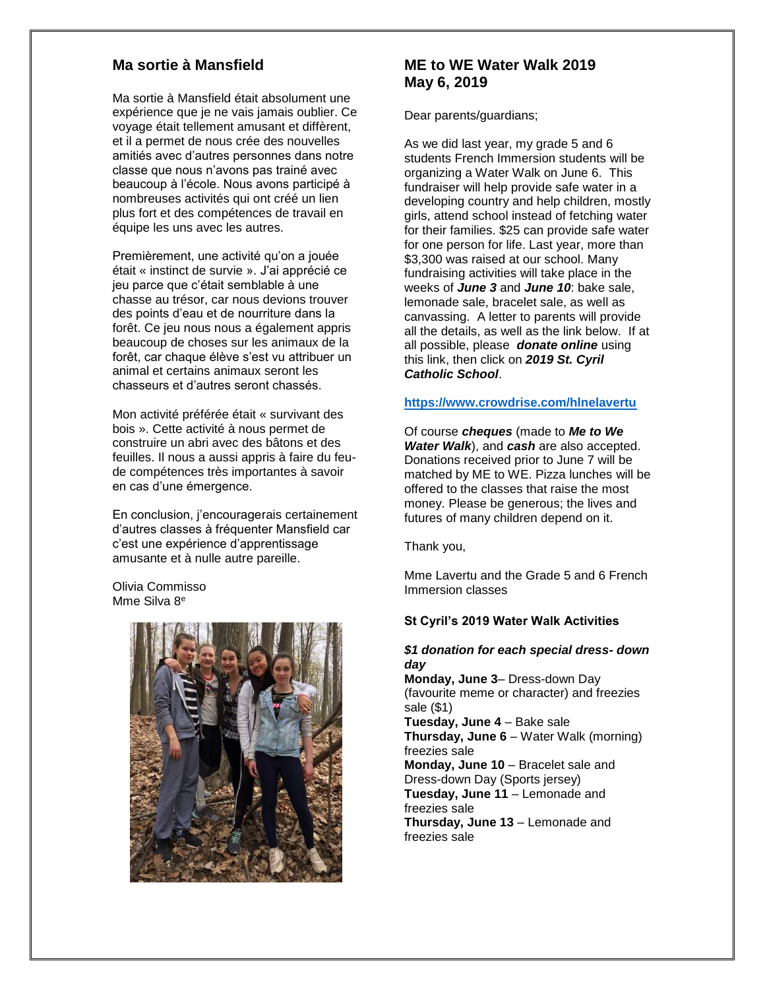### **Ma sortie à Mansfield**

Ma sortie à Mansfield était absolument une expérience que je ne vais jamais oublier. Ce voyage était tellement amusant et diffèrent, et il a permet de nous crée des nouvelles amitiés avec d'autres personnes dans notre classe que nous n'avons pas trainé avec beaucoup à l'école. Nous avons participé à nombreuses activités qui ont créé un lien plus fort et des compétences de travail en équipe les uns avec les autres.

Premièrement, une activité qu'on a jouée était « instinct de survie ». J'ai apprécié ce jeu parce que c'était semblable à une chasse au trésor, car nous devions trouver des points d'eau et de nourriture dans la forêt. Ce jeu nous nous a également appris beaucoup de choses sur les animaux de la forêt, car chaque élève s'est vu attribuer un animal et certains animaux seront les chasseurs et d'autres seront chassés.

Mon activité préférée était « survivant des bois ». Cette activité à nous permet de construire un abri avec des bâtons et des feuilles. Il nous a aussi appris à faire du feude compétences très importantes à savoir en cas d'une émergence.

En conclusion, j'encouragerais certainement d'autres classes à fréquenter Mansfield car c'est une expérience d'apprentissage amusante et à nulle autre pareille.

Olivia Commisso Mme Silva 8<sup>e</sup>



### **ME to WE Water Walk 2019 May 6, 2019**

Dear parents/guardians;

As we did last year, my grade 5 and 6 students French Immersion students will be organizing a Water Walk on June 6. This fundraiser will help provide safe water in a developing country and help children, mostly girls, attend school instead of fetching water for their families. \$25 can provide safe water for one person for life. Last year, more than \$3,300 was raised at our school. Many fundraising activities will take place in the weeks of *June 3* and *June 10*: bake sale, lemonade sale, bracelet sale, as well as canvassing. A letter to parents will provide all the details, as well as the link below. If at all possible, please *donate online* using this link, then click on *2019 St. Cyril Catholic School*.

#### **<https://www.crowdrise.com/hlnelavertu>**

Of course *cheques* (made to *Me to We Water Walk*), and *cash* are also accepted. Donations received prior to June 7 will be matched by ME to WE. Pizza lunches will be offered to the classes that raise the most money. Please be generous; the lives and futures of many children depend on it.

Thank you,

Mme Lavertu and the Grade 5 and 6 French Immersion classes

### **St Cyril's 2019 Water Walk Activities**

### *\$1 donation for each special dress- down day*

**Monday, June 3**– Dress-down Day (favourite meme or character) and freezies sale (\$1)

**Tuesday, June 4** – Bake sale **Thursday, June 6** – Water Walk (morning) freezies sale **Monday, June 10** – Bracelet sale and

Dress-down Day (Sports jersey) **Tuesday, June 11** – Lemonade and freezies sale

**Thursday, June 13** – Lemonade and freezies sale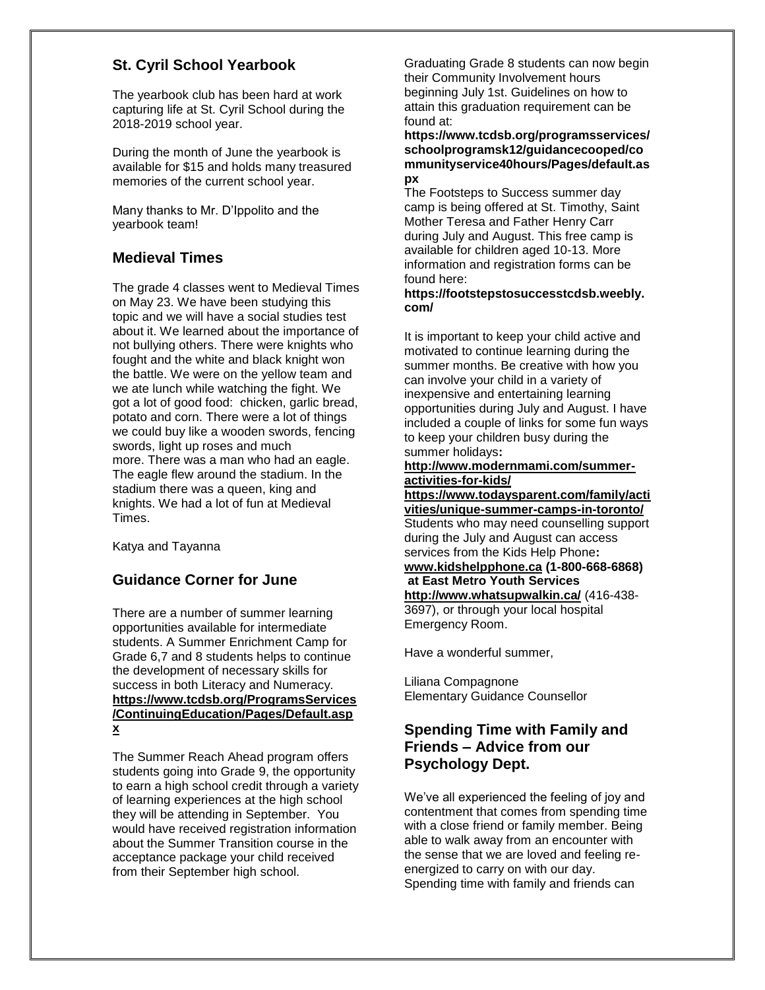### **St. Cyril School Yearbook**

The yearbook club has been hard at work capturing life at St. Cyril School during the 2018-2019 school year.

During the month of June the yearbook is available for \$15 and holds many treasured memories of the current school year.

Many thanks to Mr. D'Ippolito and the yearbook team!

### **Medieval Times**

The grade 4 classes went to Medieval Times on May 23. We have been studying this topic and we will have a social studies test about it. We learned about the importance of not bullying others. There were knights who fought and the white and black knight won the battle. We were on the yellow team and we ate lunch while watching the fight. We got a lot of good food: chicken, garlic bread, potato and corn. There were a lot of things we could buy like a wooden swords, fencing swords, light up roses and much more. There was a man who had an eagle. The eagle flew around the stadium. In the stadium there was a queen, king and knights. We had a lot of fun at Medieval Times.

Katya and Tayanna

### **Guidance Corner for June**

There are a number of summer learning opportunities available for intermediate students. A Summer Enrichment Camp for Grade 6,7 and 8 students helps to continue the development of necessary skills for success in both Literacy and Numeracy. **[https://www.tcdsb.org/ProgramsServices](https://www.tcdsb.org/ProgramsServices/ContinuingEducation/Pages/Default.aspx) [/ContinuingEducation/Pages/Default.asp](https://www.tcdsb.org/ProgramsServices/ContinuingEducation/Pages/Default.aspx) [x](https://www.tcdsb.org/ProgramsServices/ContinuingEducation/Pages/Default.aspx)**

The Summer Reach Ahead program offers students going into Grade 9, the opportunity to earn a high school credit through a variety of learning experiences at the high school they will be attending in September. You would have received registration information about the Summer Transition course in the acceptance package your child received from their September high school.

Graduating Grade 8 students can now begin their Community Involvement hours beginning July 1st. Guidelines on how to attain this graduation requirement can be found at:

**[https://www.tcdsb.org/programsservices/](https://www.tcdsb.org/programsservices/schoolprogramsk12/guidancecooped/communityservice40hours/Pages/default.aspx) [schoolprogramsk12/guidancecooped/co](https://www.tcdsb.org/programsservices/schoolprogramsk12/guidancecooped/communityservice40hours/Pages/default.aspx) [mmunityservice40hours/Pages/default.as](https://www.tcdsb.org/programsservices/schoolprogramsk12/guidancecooped/communityservice40hours/Pages/default.aspx) [px](https://www.tcdsb.org/programsservices/schoolprogramsk12/guidancecooped/communityservice40hours/Pages/default.aspx)**

The Footsteps to Success summer day camp is being offered at St. Timothy, Saint Mother Teresa and Father Henry Carr during July and August. This free camp is available for children aged 10-13. More information and registration forms can be found here:

#### **[https://footstepstosuccesstcdsb.weebly.](https://footstepstosuccesstcdsb.weebly.com/) [com/](https://footstepstosuccesstcdsb.weebly.com/)**

It is important to keep your child active and motivated to continue learning during the summer months. Be creative with how you can involve your child in a variety of inexpensive and entertaining learning opportunities during July and August. I have included a couple of links for some fun ways to keep your children busy during the summer holidays**:** 

### **[http://www.modernmami.com/summer](http://www.modernmami.com/summer-activities-for-kids/)[activities-for-kids/](http://www.modernmami.com/summer-activities-for-kids/)**

**[https://www.todaysparent.com/family/acti](https://www.todaysparent.com/family/activities/unique-summer-camps-in-toronto/) [vities/unique-summer-camps-in-toronto/](https://www.todaysparent.com/family/activities/unique-summer-camps-in-toronto/)** Students who may need counselling support during the July and August can access services from the Kids Help Phone**: [www.kidshelpphone.ca](http://www.kidshelpphone.ca/) (1-800-668-6868) at East Metro Youth Services <http://www.whatsupwalkin.ca/>** (416-438- 3697), or through your local hospital Emergency Room.

Have a wonderful summer,

Liliana Compagnone Elementary Guidance Counsellor

### **Spending Time with Family and Friends – Advice from our Psychology Dept.**

We've all experienced the feeling of joy and contentment that comes from spending time with a close friend or family member. Being able to walk away from an encounter with the sense that we are loved and feeling reenergized to carry on with our day. Spending time with family and friends can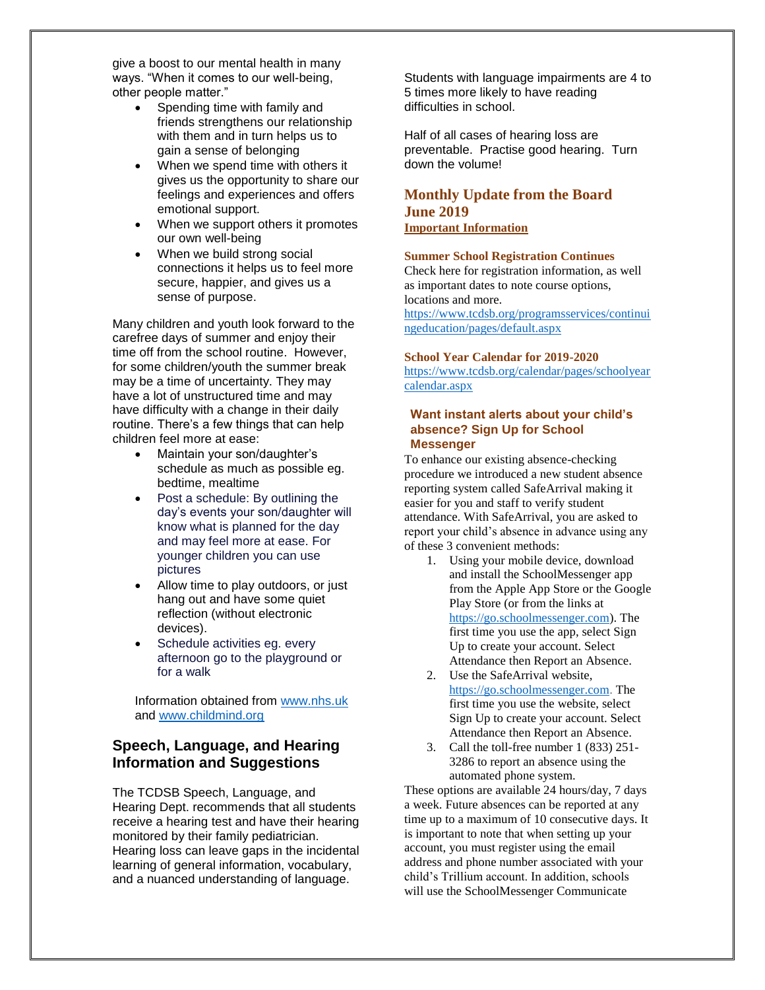give a boost to our mental health in many ways. "When it comes to our well-being, other people matter."

- Spending time with family and friends strengthens our relationship with them and in turn helps us to gain a sense of belonging
- When we spend time with others it gives us the opportunity to share our feelings and experiences and offers emotional support.
- When we support others it promotes our own well-being
- When we build strong social connections it helps us to feel more secure, happier, and gives us a sense of purpose.

Many children and youth look forward to the carefree days of summer and enjoy their time off from the school routine. However, for some children/youth the summer break may be a time of uncertainty. They may have a lot of unstructured time and may have difficulty with a change in their daily routine. There's a few things that can help children feel more at ease:

- Maintain your son/daughter's schedule as much as possible eg. bedtime, mealtime
- Post a schedule: By outlining the day's events your son/daughter will know what is planned for the day and may feel more at ease. For younger children you can use pictures
- Allow time to play outdoors, or just hang out and have some quiet reflection (without electronic devices).
- Schedule activities eg. every afternoon go to the playground or for a walk

Information obtained from [www.nhs.uk](http://www.nhs.uk/) and [www.childmind.org](http://www.childmind.org/)

### **Speech, Language, and Hearing Information and Suggestions**

The TCDSB Speech, Language, and Hearing Dept. recommends that all students receive a hearing test and have their hearing monitored by their family pediatrician. Hearing loss can leave gaps in the incidental learning of general information, vocabulary, and a nuanced understanding of language.

Students with language impairments are 4 to 5 times more likely to have reading difficulties in school.

Half of all cases of hearing loss are preventable. Practise good hearing. Turn down the volume!

### **Monthly Update from the Board June 2019 Important Information**

#### **Summer School Registration Continues**

Check here for registration information, as well as important dates to note course options, locations and more.

[https://www.tcdsb.org/programsservices/continui](https://www.tcdsb.org/programsservices/continuingeducation/pages/default.aspx) [ngeducation/pages/default.aspx](https://www.tcdsb.org/programsservices/continuingeducation/pages/default.aspx)

#### **School Year Calendar for 2019-2020**

[https://www.tcdsb.org/calendar/pages/schoolyear](https://www.tcdsb.org/calendar/pages/schoolyearcalendar.aspx) [calendar.aspx](https://www.tcdsb.org/calendar/pages/schoolyearcalendar.aspx)

#### **Want instant alerts about your child's absence? Sign Up for School Messenger**

To enhance our existing absence-checking procedure we introduced a new student absence reporting system called SafeArrival making it easier for you and staff to verify student attendance. With SafeArrival, you are asked to report your child's absence in advance using any of these 3 convenient methods:

- 1. Using your mobile device, download and install the SchoolMessenger app from the Apple App Store or the Google Play Store (or from the links at [https://go.schoolmessenger.com\)](https://go.schoolmessenger.com/). The first time you use the app, select Sign Up to create your account. Select Attendance then Report an Absence.
- 2. Use the SafeArrival website, [https://go.schoolmessenger.com.](https://go.schoolmessenger.com/) The first time you use the website, select Sign Up to create your account. Select Attendance then Report an Absence.
- 3. Call the toll-free number 1 (833) 251- 3286 to report an absence using the automated phone system.

These options are available 24 hours/day, 7 days a week. Future absences can be reported at any time up to a maximum of 10 consecutive days. It is important to note that when setting up your account, you must register using the email address and phone number associated with your child's Trillium account. In addition, schools will use the SchoolMessenger Communicate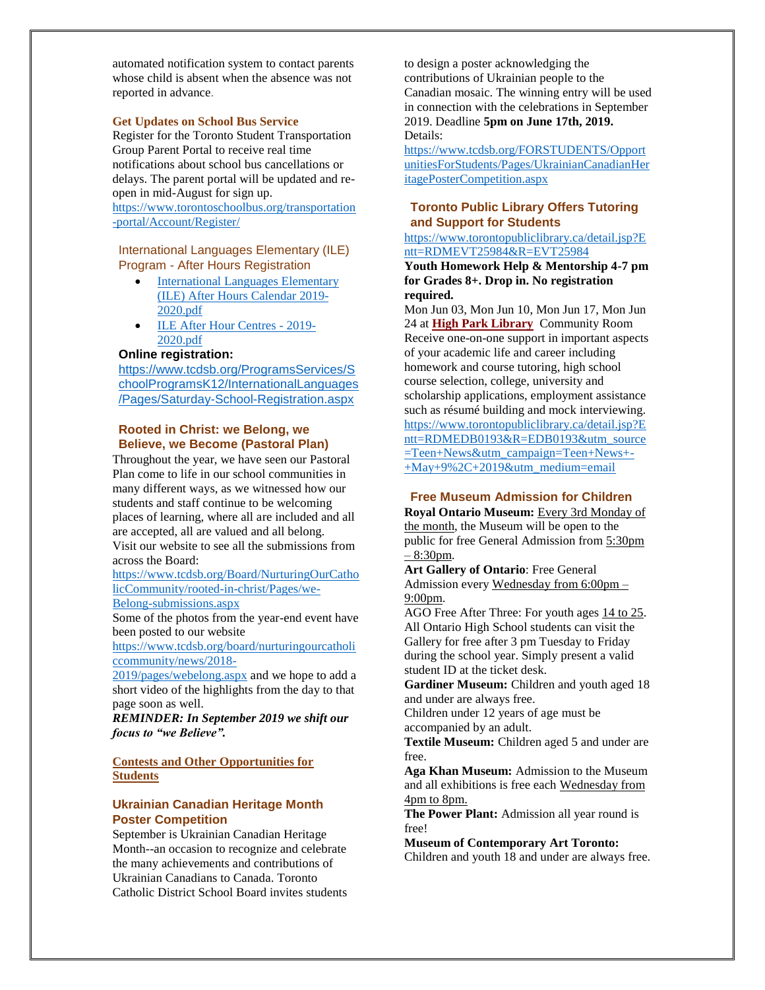automated notification system to contact parents whose child is absent when the absence was not reported in advance.

#### **Get Updates on School Bus Service**

Register for the Toronto Student Transportation Group Parent Portal to receive real time notifications about school bus cancellations or delays. The parent portal will be updated and reopen in mid-August for sign up. [https://www.torontoschoolbus.org/transportation](https://www.torontoschoolbus.org/transportation-portal/Account/Register/) [-portal/Account/Register/](https://www.torontoschoolbus.org/transportation-portal/Account/Register/)

International Languages Elementary (ILE) Program - After Hours Registration

- International Languages Elementary [\(ILE\) After Hours Calendar 2019-](https://www.tcdsb.org/ProgramsServices/SchoolProgramsK12/InternationalLanguages/Documents/International%20Languages%20Elementary%20(ILE)%20AFter%20Hours%20Calendar%202019-2020.pdf) [2020.pdf](https://www.tcdsb.org/ProgramsServices/SchoolProgramsK12/InternationalLanguages/Documents/International%20Languages%20Elementary%20(ILE)%20AFter%20Hours%20Calendar%202019-2020.pdf)
- [ILE After Hour Centres -](https://www.tcdsb.org/ProgramsServices/SchoolProgramsK12/InternationalLanguages/Documents/ILE%20After%20Hour%20Centres%20-%202019-2020.pdf) 2019- [2020.pdf](https://www.tcdsb.org/ProgramsServices/SchoolProgramsK12/InternationalLanguages/Documents/ILE%20After%20Hour%20Centres%20-%202019-2020.pdf)

#### **Online registration:**

[https://www.tcdsb.org/ProgramsServices/S](https://www.tcdsb.org/ProgramsServices/SchoolProgramsK12/InternationalLanguages/Pages/Saturday-School-Registration.aspx) [choolProgramsK12/InternationalLanguages](https://www.tcdsb.org/ProgramsServices/SchoolProgramsK12/InternationalLanguages/Pages/Saturday-School-Registration.aspx) [/Pages/Saturday-School-Registration.aspx](https://www.tcdsb.org/ProgramsServices/SchoolProgramsK12/InternationalLanguages/Pages/Saturday-School-Registration.aspx)

#### **Rooted in Christ: we Belong, we Believe, we Become (Pastoral Plan)**

Throughout the year, we have seen our Pastoral Plan come to life in our school communities in many different ways, as we witnessed how our students and staff continue to be welcoming places of learning, where all are included and all are accepted, all are valued and all belong. Visit our website to see all the submissions from

across the Board:

[https://www.tcdsb.org/Board/NurturingOurCatho](https://www.tcdsb.org/Board/NurturingOurCatholicCommunity/rooted-in-christ/Pages/we-Belong-submissions.aspx) [licCommunity/rooted-in-christ/Pages/we-](https://www.tcdsb.org/Board/NurturingOurCatholicCommunity/rooted-in-christ/Pages/we-Belong-submissions.aspx)

[Belong-submissions.aspx](https://www.tcdsb.org/Board/NurturingOurCatholicCommunity/rooted-in-christ/Pages/we-Belong-submissions.aspx)

Some of the photos from the year-end event have been posted to our website

[https://www.tcdsb.org/board/nurturingourcatholi](https://www.tcdsb.org/board/nurturingourcatholiccommunity/news/2018-2019/pages/webelong.aspx) [ccommunity/news/2018-](https://www.tcdsb.org/board/nurturingourcatholiccommunity/news/2018-2019/pages/webelong.aspx)

[2019/pages/webelong.aspx](https://www.tcdsb.org/board/nurturingourcatholiccommunity/news/2018-2019/pages/webelong.aspx) and we hope to add a short video of the highlights from the day to that page soon as well.

*REMINDER: In September 2019 we shift our focus to "we Believe".*

**Contests and Other Opportunities for Students**

### **Ukrainian Canadian Heritage Month Poster Competition**

September is Ukrainian Canadian Heritage Month--an occasion to recognize and celebrate the many achievements and contributions of Ukrainian Canadians to Canada. Toronto Catholic District School Board invites students

to design a poster acknowledging the contributions of Ukrainian people to the Canadian mosaic. The winning entry will be used in connection with the celebrations in September 2019. Deadline **5pm on June 17th, 2019.**  Details:

[https://www.tcdsb.org/FORSTUDENTS/Opport](https://www.tcdsb.org/FORSTUDENTS/OpportunitiesForStudents/Pages/UkrainianCanadianHeritagePosterCompetition.aspx) [unitiesForStudents/Pages/UkrainianCanadianHer](https://www.tcdsb.org/FORSTUDENTS/OpportunitiesForStudents/Pages/UkrainianCanadianHeritagePosterCompetition.aspx) [itagePosterCompetition.aspx](https://www.tcdsb.org/FORSTUDENTS/OpportunitiesForStudents/Pages/UkrainianCanadianHeritagePosterCompetition.aspx)

### **Toronto Public Library Offers Tutoring and Support for Students**

[https://www.torontopubliclibrary.ca/detail.jsp?E](https://www.torontopubliclibrary.ca/detail.jsp?Entt=RDMEVT25984&R=EVT25984) [ntt=RDMEVT25984&R=EVT25984](https://www.torontopubliclibrary.ca/detail.jsp?Entt=RDMEVT25984&R=EVT25984)

**Youth Homework Help & Mentorship 4-7 pm for Grades 8+. Drop in. No registration required.**

Mon Jun 03, Mon Jun 10, Mon Jun 17, Mon Jun 24 at **[High Park](https://www.torontopubliclibrary.ca/detail.jsp?Nr=p_cat_branch_name:High%20Park) Library** Community Room Receive one-on-one support in important aspects of your academic life and career including homework and course tutoring, high school course selection, college, university and scholarship applications, employment assistance such as résumé building and mock interviewing. [https://www.torontopubliclibrary.ca/detail.jsp?E](https://www.torontopubliclibrary.ca/detail.jsp?Entt=RDMEDB0193&R=EDB0193&utm_source=Teen+News&utm_campaign=Teen+News+-+May+9,+2019&utm_medium=email) [ntt=RDMEDB0193&R=EDB0193&utm\\_source](https://www.torontopubliclibrary.ca/detail.jsp?Entt=RDMEDB0193&R=EDB0193&utm_source=Teen+News&utm_campaign=Teen+News+-+May+9,+2019&utm_medium=email) [=Teen+News&utm\\_campaign=Teen+News+-](https://www.torontopubliclibrary.ca/detail.jsp?Entt=RDMEDB0193&R=EDB0193&utm_source=Teen+News&utm_campaign=Teen+News+-+May+9,+2019&utm_medium=email) [+May+9%2C+2019&utm\\_medium=email](https://www.torontopubliclibrary.ca/detail.jsp?Entt=RDMEDB0193&R=EDB0193&utm_source=Teen+News&utm_campaign=Teen+News+-+May+9,+2019&utm_medium=email)

### **Free Museum Admission for Children**

**Royal Ontario Museum:** Every 3rd Monday of the month, the Museum will be open to the public for free General Admission from 5:30pm – 8:30pm.

**Art Gallery of Ontario**: Free General Admission every Wednesday from 6:00pm – 9:00pm.

AGO Free After Three: For youth ages 14 to 25. All Ontario High School students can visit the Gallery for free after 3 pm Tuesday to Friday during the school year. Simply present a valid student ID at the ticket desk.

Gardiner Museum: Children and youth aged 18 and under are always free.

Children under 12 years of age must be accompanied by an adult.

**Textile Museum:** Children aged 5 and under are free.

**Aga Khan Museum:** Admission to the Museum and all exhibitions is free each Wednesday from 4pm to 8pm.

**The Power Plant:** Admission all year round is free!

**Museum of Contemporary Art Toronto:** 

Children and youth 18 and under are always free.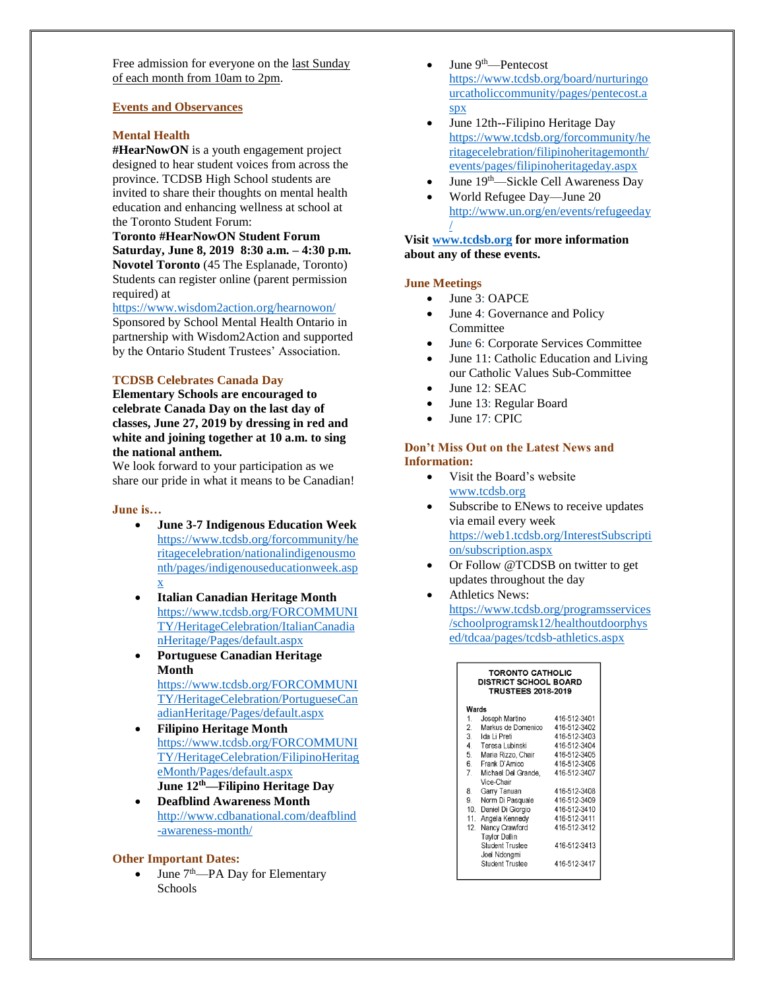Free admission for everyone on the last Sunday of each month from 10am to 2pm.

#### **Events and Observances**

#### **Mental Health**

**#HearNowON** is a youth engagement project designed to hear student voices from across the province. TCDSB High School students are invited to share their thoughts on mental health education and enhancing wellness at school at the Toronto Student Forum:

**Toronto #HearNowON Student Forum Saturday, June 8, 2019 8:30 a.m. – 4:30 p.m. Novotel Toronto** (45 The Esplanade, Toronto) Students can register online (parent permission required) at

<https://www.wisdom2action.org/hearnowon/>

Sponsored by School Mental Health Ontario in partnership with Wisdom2Action and supported by the Ontario Student Trustees' Association.

#### **TCDSB Celebrates Canada Day**

**Elementary Schools are encouraged to celebrate Canada Day on the last day of classes, June 27, 2019 by dressing in red and white and joining together at 10 a.m. to sing the national anthem.**

We look forward to your participation as we share our pride in what it means to be Canadian!

#### **June is…**

- **June 3-7 Indigenous Education Week** [https://www.tcdsb.org/forcommunity/he](https://www.tcdsb.org/forcommunity/heritagecelebration/nationalindigenousmonth/pages/indigenouseducationweek.aspx) [ritagecelebration/nationalindigenousmo](https://www.tcdsb.org/forcommunity/heritagecelebration/nationalindigenousmonth/pages/indigenouseducationweek.aspx) [nth/pages/indigenouseducationweek.asp](https://www.tcdsb.org/forcommunity/heritagecelebration/nationalindigenousmonth/pages/indigenouseducationweek.aspx) [x](https://www.tcdsb.org/forcommunity/heritagecelebration/nationalindigenousmonth/pages/indigenouseducationweek.aspx)
- **Italian Canadian Heritage Month** [https://www.tcdsb.org/FORCOMMUNI](https://www.tcdsb.org/FORCOMMUNITY/HeritageCelebration/ItalianCanadianHeritage/Pages/default.aspx) [TY/HeritageCelebration/ItalianCanadia](https://www.tcdsb.org/FORCOMMUNITY/HeritageCelebration/ItalianCanadianHeritage/Pages/default.aspx) [nHeritage/Pages/default.aspx](https://www.tcdsb.org/FORCOMMUNITY/HeritageCelebration/ItalianCanadianHeritage/Pages/default.aspx)
- **Portuguese Canadian Heritage Month** [https://www.tcdsb.org/FORCOMMUNI](https://www.tcdsb.org/FORCOMMUNITY/HeritageCelebration/PortugueseCanadianHeritage/Pages/default.aspx) [TY/HeritageCelebration/PortugueseCan](https://www.tcdsb.org/FORCOMMUNITY/HeritageCelebration/PortugueseCanadianHeritage/Pages/default.aspx) [adianHeritage/Pages/default.aspx](https://www.tcdsb.org/FORCOMMUNITY/HeritageCelebration/PortugueseCanadianHeritage/Pages/default.aspx)
- **Filipino Heritage Month**  [https://www.tcdsb.org/FORCOMMUNI](https://www.tcdsb.org/FORCOMMUNITY/HeritageCelebration/FilipinoHeritageMonth/Pages/default.aspx) [TY/HeritageCelebration/FilipinoHeritag](https://www.tcdsb.org/FORCOMMUNITY/HeritageCelebration/FilipinoHeritageMonth/Pages/default.aspx) [eMonth/Pages/default.aspx](https://www.tcdsb.org/FORCOMMUNITY/HeritageCelebration/FilipinoHeritageMonth/Pages/default.aspx) **June 12th—Filipino Heritage Day**
- **Deafblind Awareness Month** [http://www.cdbanational.com/deafblind](http://www.cdbanational.com/deafblind-awareness-month/) [-awareness-month/](http://www.cdbanational.com/deafblind-awareness-month/)

### **Other Important Dates:**

• June  $7<sup>th</sup>$ —PA Day for Elementary Schools

- June  $9<sup>th</sup>$ —Pentecost [https://www.tcdsb.org/board/nurturingo](https://www.tcdsb.org/board/nurturingourcatholiccommunity/pages/pentecost.aspx) [urcatholiccommunity/pages/pentecost.a](https://www.tcdsb.org/board/nurturingourcatholiccommunity/pages/pentecost.aspx) [spx](https://www.tcdsb.org/board/nurturingourcatholiccommunity/pages/pentecost.aspx)
- June 12th--Filipino Heritage Day [https://www.tcdsb.org/forcommunity/he](https://www.tcdsb.org/forcommunity/heritagecelebration/filipinoheritagemonth/events/pages/filipinoheritageday.aspx) [ritagecelebration/filipinoheritagemonth/](https://www.tcdsb.org/forcommunity/heritagecelebration/filipinoheritagemonth/events/pages/filipinoheritageday.aspx) [events/pages/filipinoheritageday.aspx](https://www.tcdsb.org/forcommunity/heritagecelebration/filipinoheritagemonth/events/pages/filipinoheritageday.aspx)
- June 19th—Sickle Cell Awareness Day
- World Refugee Day—June 20 [http://www.un.org/en/events/refugeeday](http://www.un.org/en/events/refugeeday/) [/](http://www.un.org/en/events/refugeeday/)

### **Visit [www.tcdsb.org](http://www.tcdsb.org/) for more information about any of these events.**

#### **June Meetings**

- June 3: OAPCE
- June 4: Governance and Policy Committee
- June 6: Corporate Services Committee
- June 11: Catholic Education and Living our Catholic Values Sub-Committee
- June 12: SEAC
- June 13: Regular Board
- June 17: CPIC

#### **Don't Miss Out on the Latest News and Information:**

- Visit the Board's website [www.tcdsb.org](http://www.tcdsb.org/)
- Subscribe to ENews to receive updates via email every week [https://web1.tcdsb.org/InterestSubscripti](https://web1.tcdsb.org/InterestSubscription/subscription.aspx) [on/subscription.aspx](https://web1.tcdsb.org/InterestSubscription/subscription.aspx)
- Or Follow @TCDSB on twitter to get updates throughout the day
- Athletics News: [https://www.tcdsb.org/programsservices](https://www.tcdsb.org/programsservices/schoolprogramsk12/healthoutdoorphysed/tdcaa/pages/tcdsb-athletics.aspx) [/schoolprogramsk12/healthoutdoorphys](https://www.tcdsb.org/programsservices/schoolprogramsk12/healthoutdoorphysed/tdcaa/pages/tcdsb-athletics.aspx) [ed/tdcaa/pages/tcdsb-athletics.aspx](https://www.tcdsb.org/programsservices/schoolprogramsk12/healthoutdoorphysed/tdcaa/pages/tcdsb-athletics.aspx)

| TORONTO CATHOLIC<br><b>DISTRICT SCHOOL BOARD</b><br><b>TRUSTEES 2018-2019</b> |                                 |              |  |  |  |  |  |  |
|-------------------------------------------------------------------------------|---------------------------------|--------------|--|--|--|--|--|--|
| Wards                                                                         |                                 |              |  |  |  |  |  |  |
| $1_{-}$                                                                       | Joseph Martino                  | 416-512-3401 |  |  |  |  |  |  |
| $2^{\circ}$                                                                   | Markus de Domenico              | 416-512-3402 |  |  |  |  |  |  |
| 3 <sup>1</sup>                                                                | Ida Li Preti                    | 416-512-3403 |  |  |  |  |  |  |
|                                                                               | 4. Teresa Lubinski              | 416-512-3404 |  |  |  |  |  |  |
| 5.                                                                            | Maria Rizzo, Chair              | 416-512-3405 |  |  |  |  |  |  |
| 6.                                                                            | Frank D'Amico                   | 416-512-3406 |  |  |  |  |  |  |
| $7^{\circ}$                                                                   | Michael Del Grande.             | 416-512-3407 |  |  |  |  |  |  |
|                                                                               | Vice-Chair                      |              |  |  |  |  |  |  |
| 8.                                                                            | Garry Tanuan                    | 416-512-3408 |  |  |  |  |  |  |
| 9.                                                                            | Norm Di Pasquale                | 416-512-3409 |  |  |  |  |  |  |
| 10.                                                                           | Daniel Di Giorgio               | 416-512-3410 |  |  |  |  |  |  |
|                                                                               | 11. Angela Kennedy              | 416-512-3411 |  |  |  |  |  |  |
| 12.                                                                           | Nancy Crawford                  | 416-512-3412 |  |  |  |  |  |  |
|                                                                               | <b>Taylor Dallin</b>            |              |  |  |  |  |  |  |
|                                                                               | Student Trustee<br>Joel Ndongmi | 416-512-3413 |  |  |  |  |  |  |
|                                                                               | Student Trustee                 | 416-512-3417 |  |  |  |  |  |  |